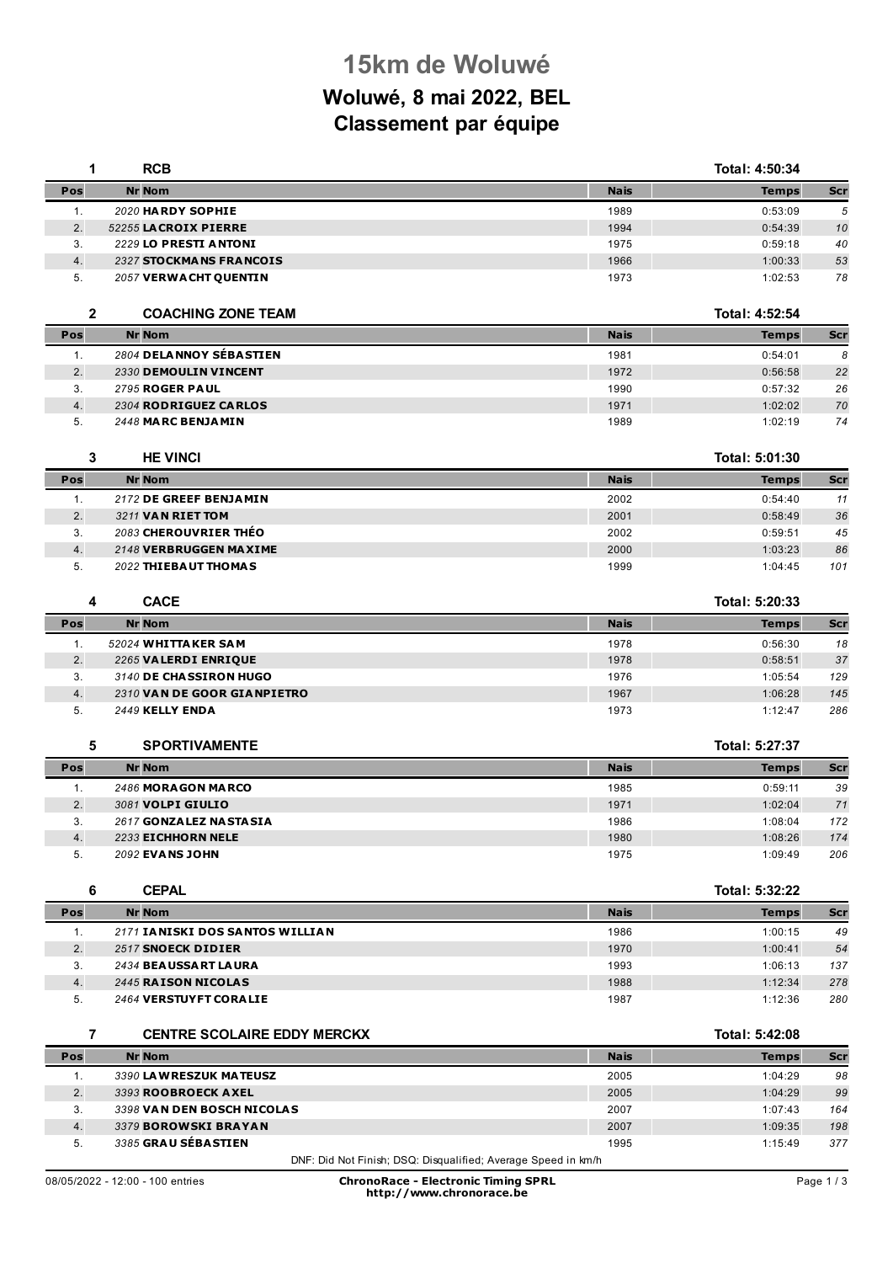## **15km de Woluwé**

## **Woluwé, 8 mai 2022, BEL Classement par équipe**

| 1            | <b>RCB</b>                                                    |             | Total: 4:50:34 |            |
|--------------|---------------------------------------------------------------|-------------|----------------|------------|
| Pos          | <b>Nr Nom</b>                                                 | <b>Nais</b> | <b>Temps</b>   | <b>Scr</b> |
| 1.           | 2020 HARDY SOPHIE                                             | 1989        | 0:53:09        | 5          |
| 2.           | 52255 LACROIX PIERRE                                          | 1994        | 0:54:39        | 10         |
| 3.           | 2229 LO PRESTI ANTONI                                         | 1975        | 0:59:18        | 40         |
| 4.           | 2327 STOCKMANS FRANCOIS                                       | 1966        | 1:00:33        | 53         |
| 5.           | 2057 VERWACHT QUENTIN                                         | 1973        | 1:02:53        | 78         |
| $\mathbf{2}$ | <b>COACHING ZONE TEAM</b>                                     |             | Total: 4:52:54 |            |
| Pos          | <b>Nr Nom</b>                                                 | <b>Nais</b> | <b>Temps</b>   | Scr        |
| 1.           | 2804 DELANNOY SÉBASTIEN                                       | 1981        | 0:54:01        | 8          |
| 2.           | 2330 DEMOULIN VINCENT                                         | 1972        | 0:56:58        | 22         |
| 3.           | <b>2795 ROGER PAUL</b>                                        | 1990        | 0:57:32        | 26         |
| 4.           | 2304 RODRIGUEZ CARLOS                                         | 1971        | 1:02:02        | 70         |
| 5.           | 2448 MARC BENJAMIN                                            | 1989        | 1:02:19        | 74         |
| 3            | <b>HE VINCI</b>                                               |             | Total: 5:01:30 |            |
| Pos          | <b>Nr Nom</b>                                                 | <b>Nais</b> | <b>Temps</b>   | <b>Scr</b> |
| 1.           | 2172 DE GREEF BENJAMIN                                        | 2002        | 0:54:40        | 11         |
| 2.           | 3211 VAN RIET TOM                                             | 2001        | 0:58:49        | 36         |
| 3.           | 2083 CHEROUVRIER THÉO                                         | 2002        | 0:59:51        | 45         |
| 4.           | 2148 VERBRUGGEN MAXIME                                        | 2000        | 1:03:23        | 86         |
| 5.           | 2022 THIEBAUT THOMAS                                          | 1999        | 1:04:45        | 101        |
| 4            | <b>CACE</b>                                                   |             | Total: 5:20:33 |            |
| Pos          | <b>Nr Nom</b>                                                 | <b>Nais</b> | <b>Temps</b>   | <b>Scr</b> |
| 1.           | 52024 WHITTAKER SAM                                           | 1978        | 0:56:30        | 18         |
| 2.           | 2265 VALERDI ENRIQUE                                          | 1978        | 0:58:51        | 37         |
| 3.           | 3140 DE CHASSIRON HUGO                                        | 1976        | 1:05:54        | 129        |
| 4.           | 2310 VAN DE GOOR GIANPIETRO                                   | 1967        | 1:06:28        | 145        |
| 5.           | <b>2449 KELLY ENDA</b>                                        | 1973        | 1:12:47        | 286        |
| 5            | <b>SPORTIVAMENTE</b>                                          |             | Total: 5:27:37 |            |
| Pos          | <b>Nr Nom</b>                                                 | <b>Nais</b> | <b>Temps</b>   | Scr        |
| 1.           | 2486 MORAGON MARCO                                            | 1985        | 0:59:11        | 39         |
| 2.           | 3081 VOLPI GIULIO                                             | 1971        | 1:02:04        | 71         |
| 3.           | 2617 GONZALEZ NASTASIA                                        | 1986        | 1:08:04        | 172        |
| 4.           | 2233 EICHHORN NELE                                            | 1980        | 1:08:26        | 174        |
| 5.           | 2092 EVANS JOHN                                               | 1975        | 1:09:49        | 206        |
| 6            | <b>CEPAL</b>                                                  |             | Total: 5:32:22 |            |
| Pos          | <b>Nr Nom</b>                                                 | <b>Nais</b> | <b>Temps</b>   | Scr        |
| 1.           | 2171 IANISKI DOS SANTOS WILLIAN                               | 1986        | 1:00:15        | 49         |
| 2.           | 2517 SNOECK DIDIER                                            | 1970        | 1:00:41        | 54         |
| 3.           | 2434 BEAUSSART LAURA                                          | 1993        | 1:06:13        | 137        |
| 4.           | 2445 RAISON NICOLAS                                           | 1988        | 1:12:34        | 278        |
| 5.           | 2464 VERSTUYFT CORALIE                                        | 1987        | 1:12:36        | 280        |
| 7            | <b>CENTRE SCOLAIRE EDDY MERCKX</b>                            |             | Total: 5:42:08 |            |
| Pos          | <b>Nr Nom</b>                                                 | <b>Nais</b> | <b>Temps</b>   | Scr        |
| 1.           | 3390 LAWRESZUK MATEUSZ                                        | 2005        | 1:04:29        | 98         |
| 2.           | 3393 ROOBROECK AXEL                                           | 2005        | 1:04:29        | 99         |
| 3.           | 3398 VAN DEN BOSCH NICOLAS                                    | 2007        | 1:07:43        | 164        |
| 4.           | 3379 BOROWSKI BRAYAN                                          | 2007        | 1:09:35        | 198        |
| 5.           | 3385 GRAU SÉBASTIEN                                           | 1995        | 1:15:49        | 377        |
|              | DNF: Did Not Finish; DSQ: Disqualified; Average Speed in km/h |             |                |            |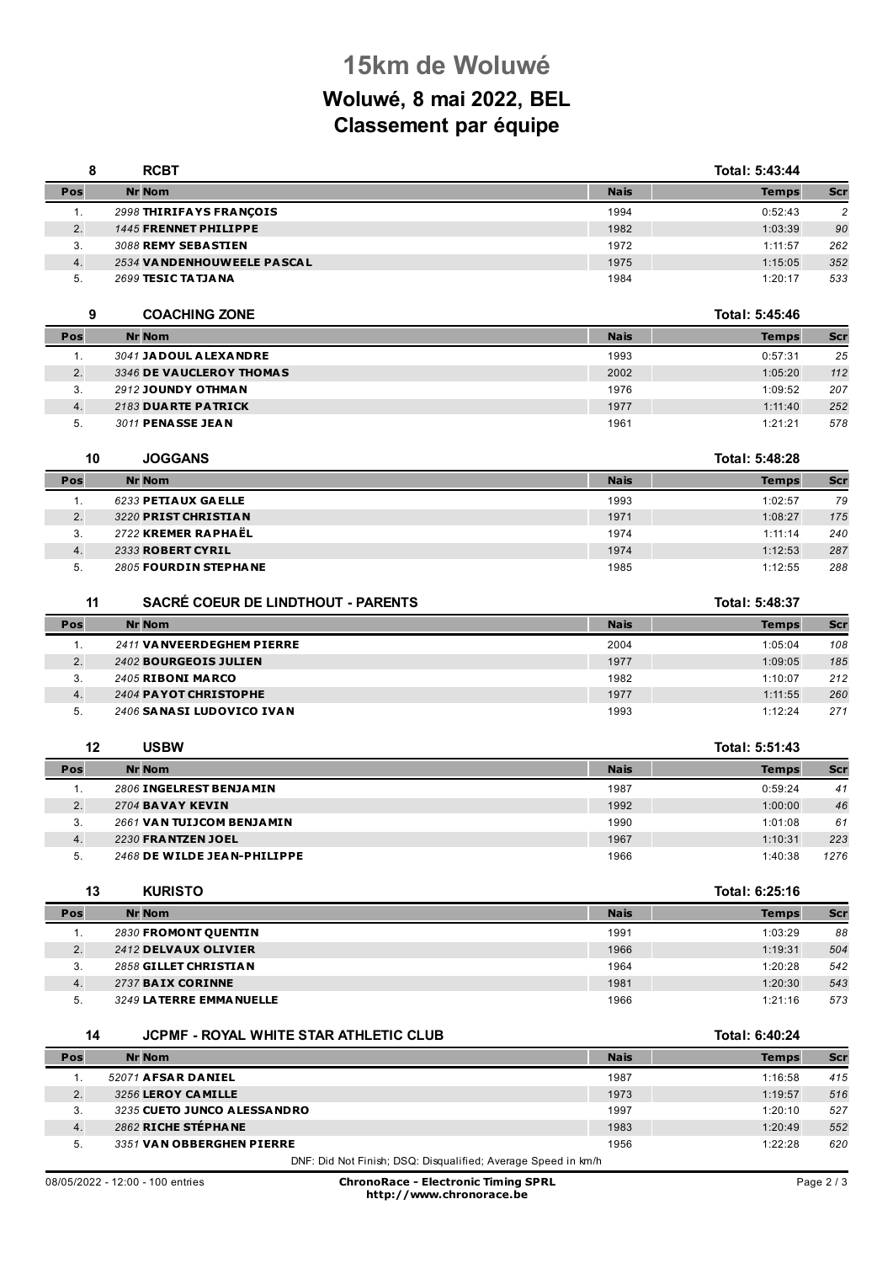## **15km de Woluwé Woluwé, 8 mai 2022, BEL Classement par équipe**

| 8        | <b>RCBT</b>                                   |             | Total: 5:43:44 |                   |
|----------|-----------------------------------------------|-------------|----------------|-------------------|
| Pos      | <b>Nr Nom</b>                                 | <b>Nais</b> | <b>Temps</b>   | Scr               |
| 1.       | 2998 THIRIFAYS FRANCOIS                       | 1994        | 0:52:43        | $\overline{c}$    |
| 2.       | 1445 FRENNET PHILIPPE                         | 1982        | 1:03:39        | 90                |
| 3.       | 3088 REMY SEBASTIEN                           | 1972        | 1:11:57        | 262               |
| 4.       | 2534 VANDENHOUWEELE PASCAL                    | 1975        | 1:15:05        | 352               |
| 5.       | 2699 TESIC TATJANA                            | 1984        | 1:20:17        | 533               |
| 9        | <b>COACHING ZONE</b>                          |             | Total: 5:45:46 |                   |
| Pos      | <b>Nr Nom</b>                                 | <b>Nais</b> | <b>Temps</b>   | <b>Scr</b>        |
| 1.       | 3041 JADOUL ALEXANDRE                         | 1993        | 0:57:31        | 25                |
| 2.       | 3346 DE VAUCLEROY THOMAS                      | 2002        | 1:05:20        | 112               |
| 3.       | 2912 JOUNDY OTHMAN                            | 1976        | 1:09:52        | 207               |
| 4.       | 2183 DUARTE PATRICK                           | 1977        | 1:11:40        | 252               |
| 5.       | 3011 PENASSE JEAN                             | 1961        | 1:21:21        | 578               |
| 10       | <b>JOGGANS</b>                                |             | Total: 5:48:28 |                   |
| Pos      | <b>Nr Nom</b>                                 | <b>Nais</b> | <b>Temps</b>   | <b>Scr</b>        |
| 1.       | 6233 PETIAUX GAELLE                           | 1993        | 1:02:57        | 79                |
| 2.       | 3220 PRIST CHRISTIAN                          | 1971        | 1:08:27        | 175               |
| 3.       | 2722 KREMER RAPHAËL                           | 1974        | 1:11:14        | 240               |
| 4.       | 2333 ROBERT CYRIL                             | 1974        | 1:12:53        | 287               |
| 5.       | 2805 FOURDIN STEPHANE                         | 1985        | 1:12:55        | 288               |
|          |                                               |             |                |                   |
| 11       | <b>SACRÉ COEUR DE LINDTHOUT - PARENTS</b>     |             | Total: 5:48:37 |                   |
| Pos      | <b>Nr Nom</b>                                 | <b>Nais</b> | <b>Temps</b>   | <b>Scr</b>        |
| 1.       | 2411 VANVEERDEGHEM PIERRE                     | 2004        | 1:05:04        | 108               |
| 2.       | 2402 BOURGEOIS JULIEN                         | 1977        | 1:09:05        | 185               |
| 3.       | 2405 RIBONI MARCO                             | 1982        | 1:10:07        | 212               |
| 4.       | 2404 PAYOT CHRISTOPHE                         | 1977        | 1:11:55        | 260               |
| 5.       | 2406 SANASI LUDOVICO IVAN                     | 1993        | 1:12:24        | 271               |
| 12       | <b>USBW</b>                                   |             | Total: 5:51:43 |                   |
| Pos      | <b>Nr Nom</b>                                 | <b>Nais</b> | <b>Temps</b>   | Scr               |
| 1.       | 2806 INGELREST BENJAMIN                       | 1987        | 0:59:24        | 41                |
| 2.       | <b>2704 BAVAY KEVIN</b>                       | 1992        | 1:00:00        | 46                |
| 3.       | 2661 VAN TUIJCOM BENJAMIN                     | 1990        | 1:01:08        | 61                |
| 4.       | 2230 FRANTZEN JOEL                            | 1967        | 1:10:31        | 223               |
| 5.       | 2468 DE WILDE JEAN-PHILIPPE                   | 1966        | 1:40:38        | 1276              |
| 13       | <b>KURISTO</b>                                |             | Total: 6:25:16 |                   |
| Pos      | <b>Nr Nom</b>                                 | <b>Nais</b> | <b>Temps</b>   | <b>Scr</b>        |
| 1.       | 2830 FROMONT QUENTIN                          | 1991        | 1:03:29        | 88                |
| 2.       | 2412 DELVAUX OLIVIER                          | 1966        | 1:19:31        | 504               |
| 3.       | 2858 GILLET CHRISTIAN                         | 1964        | 1:20:28        | 542               |
|          |                                               | 1981        | 1:20:30        | 543               |
|          | 2737 BAIX CORINNE                             |             |                |                   |
| 4.<br>5. | 3249 LATERRE EMMANUELLE                       | 1966        | 1:21:16        |                   |
| 14       | <b>JCPMF - ROYAL WHITE STAR ATHLETIC CLUB</b> |             | Total: 6:40:24 |                   |
| Pos      | <b>Nr Nom</b>                                 | <b>Nais</b> | <b>Temps</b>   |                   |
| 1.       | 52071 AFSAR DANIEL                            | 1987        | 1:16:58        | 573<br>Scr<br>415 |
| 2.       | 3256 LEROY CAMILLE                            | 1973        | 1:19:57        | 516               |
| 3.       | 3235 CUETO JUNCO A LESSA NDRO                 | 1997        | 1:20:10        | 527               |
| 4.       | 2862 RICHE STÉPHANE                           | 1983        | 1:20:49        | 552               |